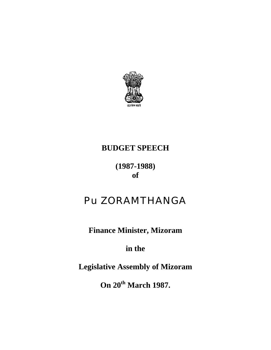

# **BUDGET SPEECH**

# **(1987-1988) of**

# Pu ZORAMTHANGA

**Finance Minister, Mizoram** 

**in the** 

**Legislative Assembly of Mizoram** 

**On 20th March 1987.**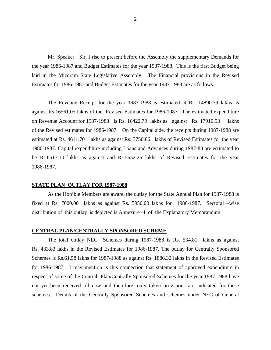Mr. Speaker Sir, I rise to present before the Assembly the supplementary Demands for the year 1986-1987 and Budget Estimates for the year 1987-1988. This is the first Budget being laid in the Mizoram State Legislative Assembly. The Financial provisions in the Revised Estimates for 1986-1987 and Budget Estimates for the year 1987-1988 are as follows:-

 The Revenue Receipt for the year 1987-1988 is estimated at Rs. 14890.79 lakhs as against Rs.16561.05 lakhs of the Revised Estimates for 1986-1987. The estimated expenditure on Revenue Account for 1987-1988 is Rs. 16422.79 lakhs as against Rs. 17910.53 lakhs of the Revised estimates for 1986-1987. On the Capital side, the receipts during 1987-1988 are estimated at Rs. 4611.70 lakhs as against Rs. 3750.86 lakhs of Revised Estimates for the year 1986-1987. Capital expenditure including Loans and Advances during 1987-88 are estimated to be Rs.6513.10 lakhs as against and Rs.5652.26 lakhs of Revised Estimates for the year 1986-1987.

#### **STATE PLAN OUTLAY FOR 1987-1988**

As the Hon'ble Members are aware, the outlay for the State Annual Plan for 1987-1988 is fixed at Rs. 7000.00 lakhs as against Rs. 5950.00 lakhs for 1986-1987. Sectoral –wise distribution of this outlay is depicted is Annexure –I of the Explanatory Memorandum.

#### **CENTRAL PLAN/CENTRALLY SPONSORED SCHEME**

The total outlay NEC Schemes during 1987-1988 is Rs. 534.81 lakhs as against Rs. 433.83 lakhs in the Revised Estimates for 1986-1987. The outlay for Centrally Sponsored Schemes is Rs.61.58 lakhs for 1987-1988 as against Rs. 1886.32 lakhs in the Revised Estimates for 1986-1987. I may mention is this connection that statement of approved expenditure in respect of some of the Central Plan/Centrally Sponsored Schemes for the year 1987-1988 have not yet been received till now and therefore, only token provisions are indicated for these schemes. Details of the Centrally Sponsored Schemes and schemes under NEC of General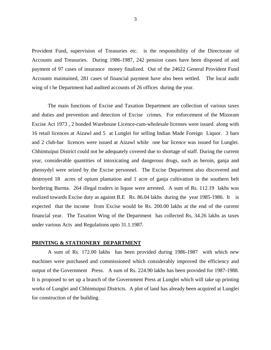Provident Fund, supervision of Treasuries etc. is the responsibility of the Directorate of Accounts and Treasuries. During 1986-1987, 242 pension cases have been disposed of and payment of 97 cases of insurance money finalized. Out of the 24622 General Provident Fund Accounts maintained, 281 cases of financial payment have also been settled. The local audit wing of t he Department had audited accounts of 26 offices during the year.

The main functions of Excise and Taxation Department are collection of various taxes and duties and prevention and detection of Excise crimes. For enforcement of the Mizoram Excise Act 1973 , 2 bonded Warehouse Licence-cum-wholesale licenses were issued along with 16 retail licences at Aizawl and 5 at Lunglei for selling Indian Made Foreign Liquor. 3 bars and 2 club-bar licences were issued at Aizawl while one bar licence was issued for Lunglei. Chhimtuipui District could not be adequately covered due to shortage of staff. During the current year, considerable quantities of intoxicating and dangerous drugs, such as heroin, ganja and phensydyl were seized by the Excise personnel. The Excise Department also discovered and destroyed 18 acres of opium plantation and 1 acre of ganja cultivation in the southern belt bordering Burma. 264 illegal traders in liquor were arrested. A sum of Rs. 112.19 lakhs was realized towards Excise duty as against B.E Rs. 86.04 lakhs during the year 1985-1986. It is expected that the income from Excise would be Rs. 200.00 lakhs at the end of the current financial year. The Taxation Wing of the Department has collected Rs, 34.26 lakhs as taxes under various Acts and Regulations upto 31.1.1987.

#### **PRINTING & STATIONERY DEPARTMENT**

A sum of Rs. 172.00 lakhs has been provided during 1986-1987 with which new machines were purchased and commissioned which considerably improved the efficiency and output of the Government Press. A sum of Rs. 224.90 lakhs has been provided for 1987-1988. It is proposed to set up a branch of the Government Press at Lunglei which will take up printing works of Lunglei and Chhimtuipui Districts. A plot of land has already been acquired at Lunglei for construction of the building.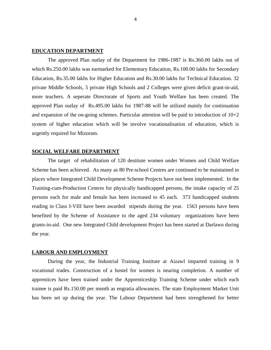## **EDUCATION DEPARTMENT**

The approved Plan outlay of the Department for 1986-1987 is Rs.360.00 lakhs out of which Rs.250.00 lakhs was earmarked for Elementary Education, Rs.100.00 lakhs for Secondary Education, Rs.35.00 lakhs for Higher Education and Rs.30.00 lakhs for Technical Education. 32 private Middle Schools, 5 private High Schools and 2 Colleges were given deficit grant-in-aid, more teachers. A seperate Directorate of Sports and Youth Welfare has been created. The approved Plan outlay of Rs.495.00 lakhs for 1987-88 will be utilized mainly for continuation and expansion of the on-going schemes. Particular attention will be paid to introduction of 10+2 system of higher education which will be involve vocationalisation of education, which is urgently required for Mizoram.

#### **SOCIAL WELFARE DEPARTMENT**

The target of rehabilitation of 120 destitute women under Women and Child Welfare Scheme has been achieved. As many as 80 Pre-school Centres are continued to be maintained in places where Integrated Child Development Scheme Projects have not been implemented. In the Training-cum-Production Centres for physically handicapped persons, the intake capacity of 25 persons each for male and female has been increased to 45 each. 373 handicapped students reading in Class I-VIII have been awarded stipends during the year. 1563 persons have been benefited by the Scheme of Assistance to the aged 234 voluntary organizations have been grants-in-aid. One new Integrated Child development Project has been started at Darlawn during the year.

#### **LABOUR AND EMPLOYMENT**

 During the year, the Industrial Training Institute at Aizawl imparted training in 9 vocational trades. Construction of a hostel for women is nearing completion. A number of apprentices have been trained under the Apprenticeship Training Scheme under which each trainee is paid Rs.150.00 per month as engratia allowances. The state Employment Market Unit has been set up during the year. The Labour Department had been strengthened for better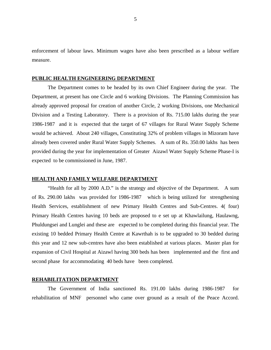enforcement of labour laws. Minimum wages have also been prescribed as a labour welfare measure.

#### **PUBLIC HEALTH ENGINEERING DEPARTMENT**

The Department comes to be headed by its own Chief Engineer during the year. The Department, at present has one Circle and 6 working Divisions. The Planning Commission has already approved proposal for creation of another Circle, 2 working Divisions, one Mechanical Division and a Testing Laboratory. There is a provision of Rs. 715.00 lakhs during the year 1986-1987 and it is expected that the target of 67 villages for Rural Water Supply Scheme would be achieved. About 240 villages, Constituting 32% of problem villages in Mizoram have already been covered under Rural Water Supply Schemes. A sum of Rs. 350.00 lakhs has been provided during the year for implementation of Greater Aizawl Water Supply Scheme Phase-I is expected to be commissioned in June, 1987.

#### **HEALTH AND FAMILY WELFARE DEPARTMENT**

"Health for all by 2000 A.D." is the strategy and objective of the Department. A sum of Rs. 290.00 lakhs was provided for 1986-1987 which is being utilized for strengthening Health Services, establishment of new Primary Health Centres and Sub-Centres. 4( four) Primary Health Centres having 10 beds are proposed to e set up at Khawlailung, Haulawng, Phuldungsei and Lunglei and these are expected to be completed during this financial year. The existing 10 bedded Primary Health Centre at Kawrthah is to be upgraded to 30 bedded during this year and 12 new sub-centres have also been established at various places. Master plan for expansion of Civil Hospital at Aizawl having 300 beds has been implemented and the first and second phase for accommodating 40 beds have been completed.

#### **REHABILITATION DEPARTMENT**

The Government of India sanctioned Rs. 191.00 lakhs during 1986-1987 for rehabilitation of MNF personnel who came over ground as a result of the Peace Accord.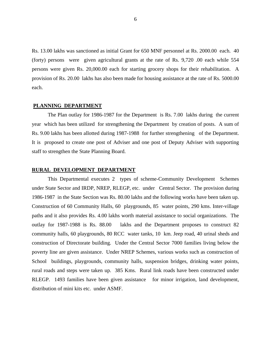Rs. 13.00 lakhs was sanctioned as initial Grant for 650 MNF personnel at Rs. 2000.00 each. 40 (forty) persons were given agricultural grants at the rate of Rs. 9,720 .00 each while 554 persons were given Rs. 20,000.00 each for starting grocery shops for their rehabilitation. A provision of Rs. 20.00 lakhs has also been made for housing assistance at the rate of Rs. 5000.00 each.

# **PLANNING DEPARTMENT**

The Plan outlay for 1986-1987 for the Department is Rs. 7.00 lakhs during the current year which has been utilized for strengthening the Department by creation of posts. A sum of Rs. 9.00 lakhs has been allotted during 1987-1988 for further strengthening of the Department. It is proposed to create one post of Adviser and one post of Deputy Adviser with supporting staff to strengthen the State Planning Board.

## **RURAL DEVELOPMENT DEPARTMENT**

This Departmental executes 2 types of scheme-Community Development Schemes under State Sector and IRDP, NREP, RLEGP, etc. under Central Sector. The provision during 1986-1987 in the State Section was Rs. 80.00 lakhs and the following works have been taken up. Construction of 60 Community Halls, 60 playgrounds, 85 water points, 290 kms. Inter-village paths and it also provides Rs. 4.00 lakhs worth material assistance to social organizations. The outlay for 1987-1988 is Rs. 88.00 lakhs and the Department proposes to construct 82 community halls, 60 playgrounds, 80 RCC water tanks, 10 km. Jeep road, 40 urinal sheds and construction of Directorate building. Under the Central Sector 7000 families living below the poverty line are given assistance. Under NREP Schemes, various works such as construction of School buildings, playgrounds, community halls, suspension bridges, drinking water points, rural roads and steps were taken up. 385 Kms. Rural link roads have been constructed under RLEGP. 1493 families have been given assistance for minor irrigation, land development, distribution of mini kits etc. under ASMF.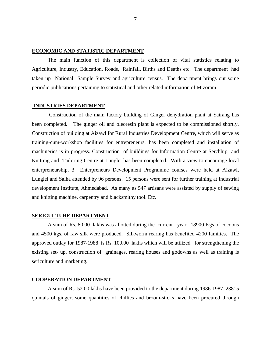# **ECONOMIC AND STATISTIC DEPARTMENT**

The main function of this department is collection of vital statistics relating to Agriculture, Industry, Education, Roads, Rainfall, Births and Deaths etc. The department had taken up National Sample Survey and agriculture census. The department brings out some periodic publications pertaining to statistical and other related information of Mizoram.

## **INDUSTRIES DEPARTMENT**

 Construction of the main factory building of Ginger dehydration plant at Sairang has been completed. The ginger oil and oleoresin plant is expected to be commissioned shortly. Construction of building at Aizawl for Rural Industries Development Centre, which will serve as training-cum-workshop facilities for entrepreneurs, has been completed and installation of machineries is in progress. Construction of buildings for Information Centre at Serchhip and Knitting and Tailoring Centre at Lunglei has been completed. With a view to encourage local enterpreneurship, 3 Enterpreneurs Development Programme courses were held at Aizawl, Lunglei and Saiha attended by 96 persons. 15 persons were sent for further training at Industrial development Institute, Ahmedabad. As many as 547 artisans were assisted by supply of sewing and knitting machine, carpentry and blacksmithy tool. Etc.

#### **SERICULTURE DEPARTMENT**

A sum of Rs. 80.00 lakhs was allotted during the current year. 18900 Kgs of cocoons and 4500 kgs. of raw silk were produced. Silkworm rearing has benefited 4200 families. The approved outlay for 1987-1988 is Rs. 100.00 lakhs which will be utilized for strengthening the existing set- up, construction of grainages, rearing houses and godowns as well as training is sericulture and marketing.

## **COOPERATION DEPARTMENT**

A sum of Rs. 52.00 lakhs have been provided to the department during 1986-1987. 23815 quintals of ginger, some quantities of chillies and broom-sticks have been procured through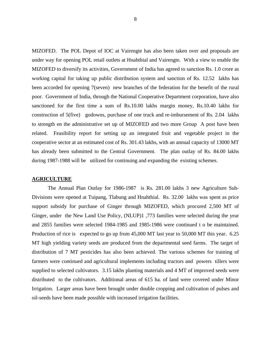MIZOFED. The POL Depot of IOC at Vairengte has also been taken over and proposals are under way for opening POL retail outlets at Hnahthial and Vairengte. With a view to enable the MIZOFED to diversify its activities, Government of India has agreed to sanction Rs. 1.0 crore as working capital for taking up public distribution system and sanction of Rs. 12.52 lakhs has been accorded for opening 7(seven) new branches of the federation for the benefit of the rural poor. Government of India, through the National Cooperative Department corporation, have also sanctioned for the first time a sum of Rs.10.00 lakhs margin money, Rs.10.40 lakhs for construction of 5(five) godowns, purchase of one truck and re-imbursement of Rs. 2.04 lakhs to strength en the administrative set up of MIZOFED and two more Group A post have been related. Feasibility report for setting up an integrated fruit and vegetable project in the cooperative sector at an estimated cost of Rs. 301.43 lakhs, with an annual capacity of 13000 MT has already been submitted to the Central Government. The plan outlay of Rs. 84.00 lakhs during 1987-1988 will be utilized for continuing and expanding the existing schemes.

#### **AGRICULTURE**

The Annual Plan Outlay for 1986-1987 is Rs. 281.00 lakhs 3 new Agriculture Sub-Divisions were opened at Tuipang, Tlabung and Hnahthial. Rs. 32.00 lakhs was spent as price support subsidy for purchase of Ginger through MIZOFED, which procured 2,500 MT of Ginger, under the New Land Use Policy, (NLUP)1 ,773 families were selected during the year and 2855 families were selected 1984-1985 and 1985-1986 were continued t o be maintained. Production of rice is expected to go up from 45,000 MT last year to 50,000 MT this year. 6.25 MT high yielding variety seeds are produced from the departmental seed farms. The target of distribution of 7 MT pesticides has also been achieved. The various schemes for training of farmers were continued and agricultural implements including tractors and powers tillers were supplied to selected cultivators. 3.15 lakhs planting materials and 4 MT of improved seeds were distributed to the cultivators. Additional areas of 615 ha. of land were covered under Minor Irrigation. Larger areas have been brought under double cropping and cultivation of pulses and oil-seeds have been made possible with increased irrigation facilities.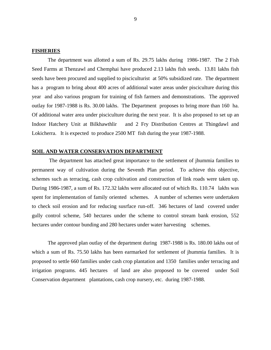## **FISHERIES**

The department was allotted a sum of Rs. 29.75 lakhs during 1986-1987. The 2 Fish Seed Farms at Thenzawl and Chemphai have produced 2.13 lakhs fish seeds. 13.81 lakhs fish seeds have been procured and supplied to pisciculturist at 50% subsidized rate. The department has a program to bring about 400 acres of additional water areas under pisciculture during this year and also various program for training of fish farmers and demonstrations. The approved outlay for 1987-1988 is Rs. 30.00 lakhs. The Department proposes to bring more than 160 ha. Of additional water area under pisciculture during the next year. It is also proposed to set up an Indoor Hatchery Unit at Bilkhawthlir and 2 Fry Distribution Centres at Thingdawl and Lokicherra. It is expected to produce 2500 MT fish during the year 1987-1988.

#### **SOIL AND WATER CONSERVATION DEPARTMENT**

The department has attached great importance to the settlement of jhummia families to permanent way of cultivation during the Seventh Plan period. To achieve this objective, schemes such as terracing, cash crop cultivation and construction of link roads were taken up. During 1986-1987, a sum of Rs. 172.32 lakhs were allocated out of which Rs. 110.74 lakhs was spent for implementation of family oriented schemes. A number of schemes were undertaken to check soil erosion and for reducing susrface run-off. 346 hectares of land covered under gully control scheme, 540 hectares under the scheme to control stream bank erosion, 552 hectares under contour bunding and 280 hectares under water harvesting schemes.

 The approved plan outlay of the department during 1987-1988 is Rs. 180.00 lakhs out of which a sum of Rs. 75.50 lakhs has been earmarked for settlement of jhummia families. It is proposed to settle 660 families under cash crop plantation and 1350 families under terracing and irrigation programs. 445 hectares of land are also proposed to be covered under Soil Conservation department plantations, cash crop nursery, etc. during 1987-1988.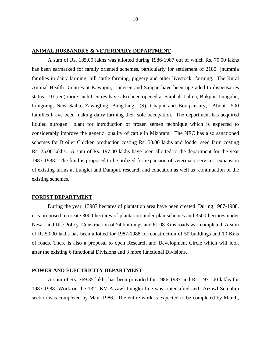# **ANIMAL HUSBANDRY & VETERINARY DEPARTMENT**

A sum of Rs. 185.00 lakhs was allotted during 1986-1987 out of which Rs. 70.00 lakhs has been earmarked for family oriented schemes, particularly for settlement of 2180 jhummia families in dairy farming, hill cattle farming, piggery and other livestock farming. The Rural Animal Health Centres at Kawnpui, Lungsen and Sangau have been upgraded to dispensaries status. 10 (ten) more such Centres have also been opened at Saiphal, Lallen, Bukpui, Lungpho, Lungrang, New Saiha, Zawngling, Bungtlang (S), Chapui and Borapansury, About 500 families h ave been making dairy farming their sole occupation. The department has acquired liquied nitrogen plant for introduction of frozen semen technique which is expected to considerably improve the genetic quality of cattle in Mizoram. The NEC has also sanctioned schemes for Broiler Chicken production costing Rs. 50.00 lakhs and fodder seed farm costing Rs. 25.00 lakhs. A sum of Rs. 197.00 lakhs have been allotted to the department for the year 1987-1988. The fund is proposed to be utilized for expansion of veterinary services, expansion of existing farms at Lunglei and Dampui, research and education as well as continuation of the existing schemes.

## **FOREST DEPARTMENT**

 During the year, 13987 hectares of plantation area have been created. During 1987-1988, it is proposed to create 3000 hectares of plantation under plan schemes and 3500 hectares under New Land Use Policy. Construction of 74 buildings and 61.08 Kms roads was completed. A sum of Rs.50.00 lakhs has been allotted for 1987-1988 for construction of 50 buildings and 10 Kms of roads. There is also a proposal to open Research and Development Circle which will look after the existing 6 functional Divisions and 3 more functional Divisions.

#### **POWER AND ELECTRICITY DEPARTMENT**

A sum of Rs. 769.35 lakhs has been provided for 1986-1987 and Rs. 1971.00 lakhs for 1987-1988. Work on the 132 KV Aizawl-Lunglei line was intensified and Aizawl-Serchhip section was completed by May, 1986. The entire work is expected to be completed by March,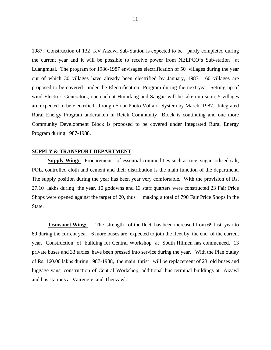1987. Construction of 132 KV Aizawl Sub-Station is expected to be partly completed during the current year and it will be possible to receive power from NEEPCO's Sub-station at Luangmual. The program for 1986-1987 envisages electrification of 50 villages during the year out of which 30 villages have already been electrified by January, 1987. 60 villages are proposed to be covered under the Electrification Program during the next year. Setting up of wind Electric Generators, one each at Hmuifang and Sangau will be taken up soon. 5 villages are expected to be electrified through Solar Photo Voltaic System by March, 1987. Integrated Rural Energy Program undertaken in Reiek Community Block is continuing and one more Community Development Block is proposed to be covered under Integrated Rural Energy Program during 1987-1988.

#### **SUPPLY & TRANSPORT DEPARTMENT**

**Supply Wing:-** Procurement of essential commodities such as rice, sugar iodised salt, POL, controlled cloth and cement and their distribution is the main function of the department. The supply position during the year has been year very comfortable. With the provision of Rs. 27.10 lakhs during the year, 10 godowns and 13 staff quarters were constructed 23 Fair Price Shops were opened against the target of 20, thus making a total of 790 Fair Price Shops in the State.

**Transport Wing:-** The strength of the fleet has been increased from 69 last year to 89 during the current year. 6 more buses are expected to join the fleet by the end of the current year. Construction of building for Central Workshop at South Hlimen has commenced. 13 private buses and 33 taxies have been pressed into service during the year. With the Plan outlay of Rs. 160.00 lakhs during 1987-1988, the main thrist will be replacement of 23 old buses and luggage vans, construction of Central Workshop, additional bus terminal buildings at Aizawl and bus stations at Vairengte and Thenzawl.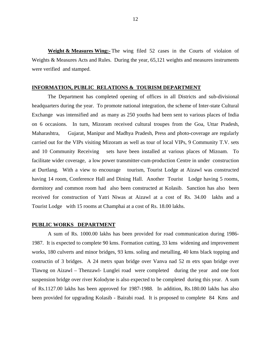**Weight & Measures Wing:-** The wing filed 52 cases in the Courts of violaion of Weights & Measures Acts and Rules. During the year, 65,121 weights and measures instruments were verified and stamped.

# **INFORMATION, PUBLIC RELATIONS & TOURISM DEPARTMENT**

The Department has completed opening of offices in all Districts and sub-divisional headquarters during the year. To promote national integration, the scheme of Inter-state Cultural Exchange was intensified and as many as 250 youths had been sent to various places of India on 6 occasions. In turn, Mizoram received cultural troupes from the Goa, Uttar Pradesh, Maharashtra, Gujarat, Manipur and Madhya Pradesh, Press and photo-coverage are regularly carried out for the VIPs visiting Mizoram as well as tour of local VIPs, 9 Community T.V. sets and 10 Community Receiving sets have been installed at various places of Mizoam. To facilitate wider coverage, a low power transmitter-cum-production Centre in under construction at Durtlang. With a view to encourage tourism, Tourist Lodge at Aizawl was constructed having 14 room, Conference Hall and Dining Hall. Another Tourist Lodge having 5 rooms, dormitory and common room had also been constructed at Kolasib. Sanction has also been received for construction of Yatri Niwas at Aizawl at a cost of Rs. 34.00 lakhs and a Tourist Lodge with 15 rooms at Champhai at a cost of Rs. 18.00 lakhs.

#### **PUBLIC WORKS DEPARTMENT**

A sum of Rs. 1000.00 lakhs has been provided for road communication during 1986- 1987. It is expected to complete 90 kms. Formation cutting, 33 kms widening and improvement works, 180 culverts and minor bridges, 93 kms. soling and metalling, 40 kms black topping and costructin of 3 bridges. A 24 metrs span bridge over Vanva nad 52 m etrs span bridge over Tlawng on Aizawl – Thenzawl- Lunglei road were completed during the year and one foot suspension bridge over river Kolodyne is also expected to be completed during this year. A sum of Rs.1127.00 lakhs has been approved for 1987-1988. In addition, Rs.180.00 lakhs has also been provided for upgrading Kolasib - Bairabi road. It is proposed to complete 84 Kms and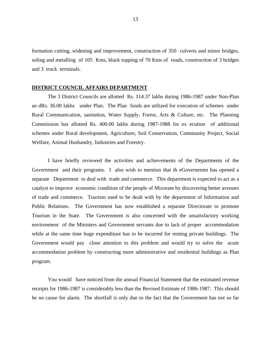formation cutting, widening and improvement, construction of 350 culverts and minor bridges, soling and metalling of 105 Kms, black topping of 70 Kms of roads, construction of 3 bridges and 3 truck terminals.

#### **DISTRICT COUNCIL AFFAIRS DEPARTMENT**

The 3 District Councils are allotted Rs. 114.37 lakhs during 1986-1987 under Non-Plan an dRs. 36.00 lakhs under Plan. The Plan funds are utilized for execution of schemes under Rural Communication, sanitation, Water Supply, Forest, Arts & Culture, etc. The Planning Commission has allotted Rs. 400.00 lakhs during 1987-1988 for ex ecution of additional schemes under Rural development, Agriculture, Soil Conservation, Community Project, Social Welfare, Animal Husbandry, Industries and Forestry.

I have briefly reviewed the activities and achievements of the Departments of the Government and their programs. I also wish to mention that th eGovernemtn has opened a separate Department to deal with trade and commerce. This department is expected to act as a catalyst to improve economic condition of the people of Mizoram by discovering better avenues of trade and commerce. Tourism used to be dealt with by the department of Information and Public Relations. The Government has now established a separate Directorate to promote Tourism in the State. The Government is also concerned with the unsatisfactory working environment of the Ministers and Government servants due to lack of proper accommodation while at the same time huge expenditure has to be incurred for renting private buildings. The Government would pay close attention to this problem and would try to solve the acute accommodation problem by constructing more administrative and residential buildings as Plan program.

You would have noticed from the annual Financial Statement that the estimated revenue receipts for 1986-1987 is considerably less than the Revised Estimate of 1986-1987. This should be no cause for alarm. The shortfall is only due to the fact that the Government has not so far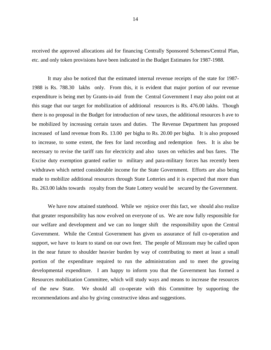received the approved allocations aid for financing Centrally Sponsored Schemes/Central Plan, etc. and only token provisions have been indicated in the Budget Estimates for 1987-1988.

It may also be noticed that the estimated internal revenue receipts of the state for 1987- 1988 is Rs. 788.30 lakhs only. From this, it is evident that major portion of our revenue expenditure is being met by Grants-in-aid from the Central Government I may also point out at this stage that our target for mobilization of additional resources is Rs. 476.00 lakhs. Though there is no proposal in the Budget for introduction of new taxes, the additional resources h ave to be mobilized by increasing certain taxes and duties. The Revenue Department has proposed increased of land revenue from Rs. 13.00 per bigha to Rs. 20.00 per bigha. It is also proposed to increase, to some extent, the fees for land recording and redemption fees. It is also be necessary to revise the tariff rats for electricity and also taxes on vehicles and bus fares. The Excise duty exemption granted earlier to military and para-military forces has recently been withdrawn which netted considerable income for the State Government. Efforts are also being made to mobilize additional resources through State Lotteries and it is expected that more than Rs. 263.00 lakhs towards royalty from the State Lottery would be secured by the Government.

We have now attained statehood. While we rejoice over this fact, we should also realize that greater responsibility has now evolved on everyone of us. We are now fully responsible for our welfare and development and we can no longer shift the responsibility upon the Central Government. While the Central Government has given us assurance of full co-operation and support, we have to learn to stand on our own feet. The people of Mizoram may be called upon in the near future to shoulder heavier burden by way of contributing to meet at least a small portion of the expenditure required to run the administration and to meet the growing developmental expenditure. I am happy to inform you that the Government has formed a Resources mobilization Committee, which will study ways and means to increase the resources of the new State. We should all co-operate with this Committee by supporting the recommendations and also by giving constructive ideas and suggestions.